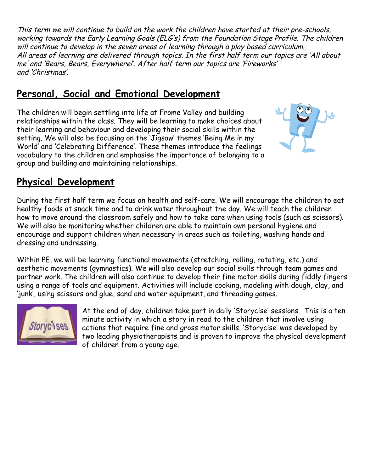This term we will continue to build on the work the children have started at their pre-schools, working towards the Early Learning Goals (ELG's) from the Foundation Stage Profile. The children will continue to develop in the seven areas of learning through a play based curriculum. All areas of learning are delivered through topics. In the first half term our topics are 'All about me' and 'Bears, Bears, Everywhere!'. After half term our topics are 'Fireworks' and 'Christmas'.

#### **Personal, Social and Emotional Development**

The children will begin settling into life at Frome Valley and building relationships within the class. They will be learning to make choices about their learning and behaviour and developing their social skills within the setting. We will also be focusing on the 'Jigsaw' themes 'Being Me in my World' and 'Celebrating Difference'. These themes introduce the feelings vocabulary to the children and emphasise the importance of belonging to a group and building and maintaining relationships.



#### **Physical Development**

During the first half term we focus on health and self-care. We will encourage the children to eat healthy foods at snack time and to drink water throughout the day. We will teach the children how to move around the classroom safely and how to take care when using tools (such as scissors). We will also be monitoring whether children are able to maintain own personal hygiene and encourage and support children when necessary in areas such as toileting, washing hands and dressing and undressing.

Within PE, we will be learning functional movements (stretching, rolling, rotating, etc.) and aesthetic movements (gymnastics). We will also develop our social skills through team games and partner work. The children will also continue to develop their fine motor skills during fiddly fingers using a range of tools and equipment. Activities will include cooking, modeling with dough, clay, and 'junk', using scissors and glue, sand and water equipment, and threading games.



At the end of day, children take part in daily 'Storycise' sessions. This is a ten minute activity in which a story in read to the children that involve using actions that require fine and gross motor skills. 'Storycise' was developed by two leading physiotherapists and is proven to improve the physical development of children from a young age.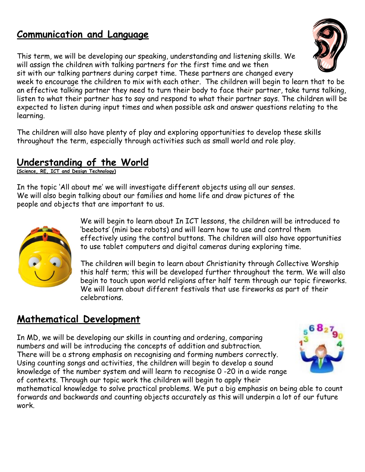#### **Communication and Language**

This term, we will be developing our speaking, understanding and listening skills. We will assign the children with talking partners for the first time and we then sit with our talking partners during carpet time. These partners are changed every

week to encourage the children to mix with each other. The children will begin to learn that to be an effective talking partner they need to turn their body to face their partner, take turns talking, listen to what their partner has to say and respond to what their partner says. The children will be expected to listen during input times and when possible ask and answer questions relating to the learning.

The children will also have plenty of play and exploring opportunities to develop these skills throughout the term, especially through activities such as small world and role play.

#### **Understanding of the World**

**(Science, RE, ICT and Design Technology)**

In the topic 'All about me' we will investigate different objects using all our senses. We will also begin talking about our families and home life and draw pictures of the people and objects that are important to us.



We will begin to learn about In ICT lessons, the children will be introduced to 'beebots' (mini bee robots) and will learn how to use and control them effectively using the control buttons. The children will also have opportunities to use tablet computers and digital cameras during exploring time.

The children will begin to learn about Christianity through Collective Worship this half term; this will be developed further throughout the term. We will also begin to touch upon world religions after half term through our topic fireworks. We will learn about different festivals that use fireworks as part of their celebrations.

#### **Mathematical Development**

In MD, we will be developing our skills in counting and ordering, comparing numbers and will be introducing the concepts of addition and subtraction. There will be a strong emphasis on recognising and forming numbers correctly. Using counting songs and activities, the children will begin to develop a sound knowledge of the number system and will learn to recognise 0 -20 in a wide range of contexts. Through our topic work the children will begin to apply their



mathematical knowledge to solve practical problems. We put a big emphasis on being able to count forwards and backwards and counting objects accurately as this will underpin a lot of our future work.

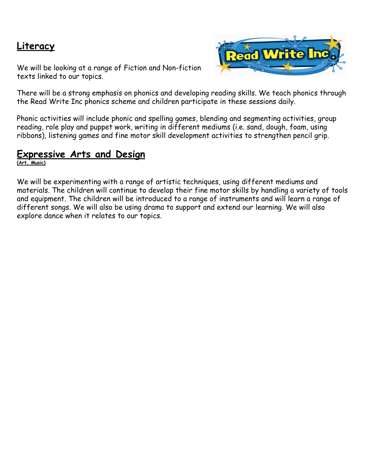#### **Literacy**

We will be looking at a range of Fiction and Non-fiction texts linked to our topics.



There will be a strong emphasis on phonics and developing reading skills. We teach phonics through the Read Write Inc phonics scheme and children participate in these sessions daily.

Phonic activities will include phonic and spelling games, blending and segmenting activities, group reading, role play and puppet work, writing in different mediums (i.e. sand, dough, foam, using ribbons), listening games and fine motor skill development activities to strengthen pencil grip.

#### **Expressive Arts and Design**

**(Art, Music)**

We will be experimenting with a range of artistic techniques, using different mediums and materials. The children will continue to develop their fine motor skills by handling a variety of tools and equipment. The children will be introduced to a range of instruments and will learn a range of different songs. We will also be using drama to support and extend our learning. We will also explore dance when it relates to our topics.